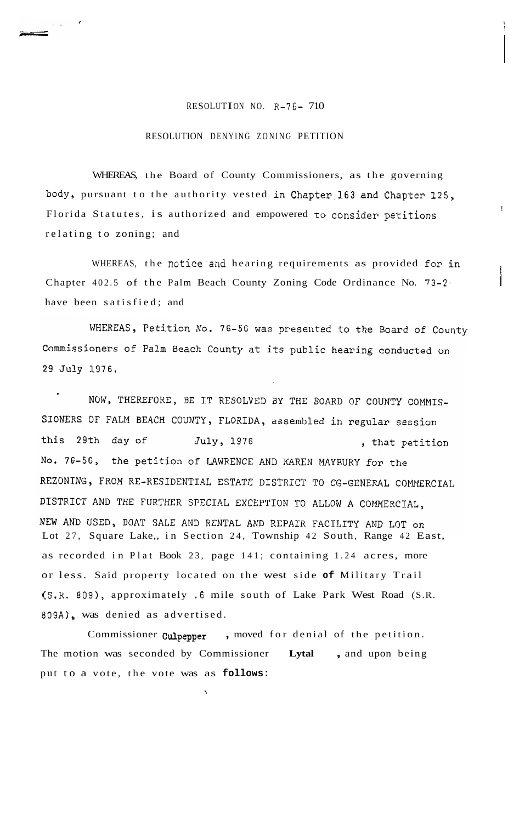## RESOLUTION NO. R-76- 710

## RESOLUTION DENYING ZONING PETITION

<sub>n a</sub> d

WHEREAS, the Board of County Commissioners, as the governing body, pursuant to the authority vested in chapter.163 and Chapter 125, Florida Statutes, is authorized and empowered to consider petitions relating to zoning; and

WHEREAS, the notice and hearing requirements as provided for in Chapter 402.5 of the Palm Beach County Zoning Code Ordinance No. 73-2. have been satisfied; and

WHEREAS, Petition No. 76-56 was presented to the Board of County Commissioners of Palm Beach County at its public hearing conducted on 29 July 1976.

NOW, THEREFORE, BE IT RESOLVED BY THE BOARD OF COUNTY COMMIS-SIONERS OF PALM BEACH COUNTY, FLORIDA, assembled in regular session this 29th day of July, 1976 , that petition No. 76-56, the petition of LAWRENCE AND KAREN MAYBURY for the REZONING, FROM RE-RESIDENTIAL ESTATE DISTRICT TO CG-GENERAL COMMERCIAL DISTRICT AND THE FURTHER SPECIAL EXCEPTION TO ALLOW A COMMERCIAL, NEW AND USED, BOAT SALE AND RENTAL AND REPAIR FACILITY AND LOT on<br>Lot 27, Square Lake,, in Section 24, Township 42 South, Range 42 East, as recorded in Plat Book 23, page 141; containing 1.24 acres, more or less. Said property located on the west side **of** Military Trail (S.R. 809), approximately .6 mile south of Lake Park West Road (S.R. 809A), was denied as advertised.

Commissioner **Culpepper** , moved for denial of the petition. The motion was seconded by Commissioner **Lytal** , and upon being put to a vote, the vote was as **follows:** 

**s**